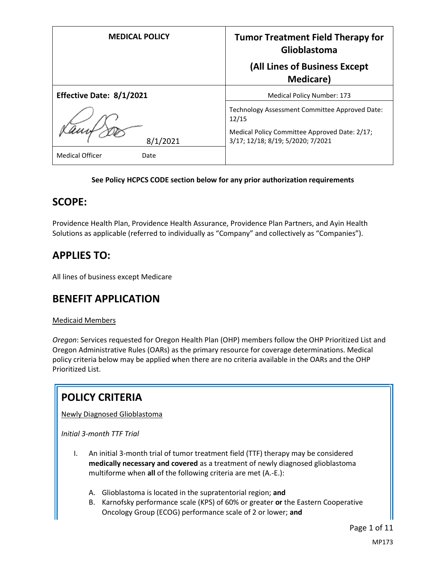| <b>MEDICAL POLICY</b>          | <b>Tumor Treatment Field Therapy for</b><br>Glioblastoma<br>(All Lines of Business Except |
|--------------------------------|-------------------------------------------------------------------------------------------|
|                                | <b>Medicare</b> )                                                                         |
| Effective Date: 8/1/2021       | <b>Medical Policy Number: 173</b>                                                         |
|                                | Technology Assessment Committee Approved Date:<br>12/15                                   |
| 8/1/2021                       | Medical Policy Committee Approved Date: 2/17;<br>3/17; 12/18; 8/19; 5/2020; 7/2021        |
| <b>Medical Officer</b><br>Date |                                                                                           |

### **See Policy HCPCS CODE section below for any prior authorization requirements**

### **SCOPE:**

Providence Health Plan, Providence Health Assurance, Providence Plan Partners, and Ayin Health Solutions as applicable (referred to individually as "Company" and collectively as "Companies").

## **APPLIES TO:**

All lines of business except Medicare

### **BENEFIT APPLICATION**

#### Medicaid Members

*Oregon*: Services requested for Oregon Health Plan (OHP) members follow the OHP Prioritized List and Oregon Administrative Rules (OARs) as the primary resource for coverage determinations. Medical policy criteria below may be applied when there are no criteria available in the OARs and the OHP Prioritized List.

# **POLICY CRITERIA**

Newly Diagnosed Glioblastoma

*Initial 3-month TTF Trial*

- I. An initial 3-month trial of tumor treatment field (TTF) therapy may be considered **medically necessary and covered** as a treatment of newly diagnosed glioblastoma multiforme when **all** of the following criteria are met (A.-E.):
	- A. Glioblastoma is located in the supratentorial region; **and**
	- B. Karnofsky performance scale (KPS) of 60% or greater **or** the Eastern Cooperative Oncology Group (ECOG) performance scale of 2 or lower; **and**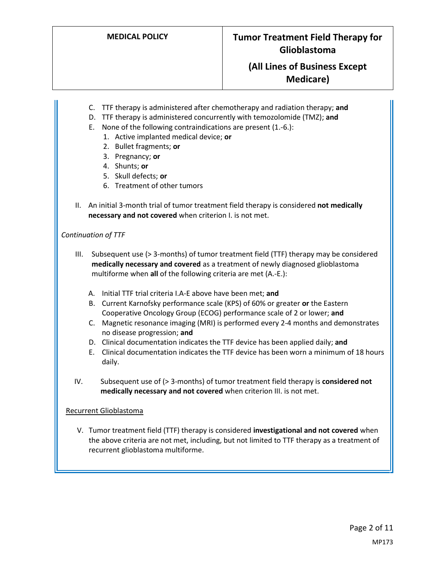- C. TTF therapy is administered after chemotherapy and radiation therapy; **and**
- D. TTF therapy is administered concurrently with temozolomide (TMZ); **and**
- E. None of the following contraindications are present (1.-6.):
	- 1. Active implanted medical device; **or**
	- 2. Bullet fragments; **or**
	- 3. Pregnancy; **or**
	- 4. Shunts; **or**
	- 5. Skull defects; **or**
	- 6. Treatment of other tumors
- II. An initial 3-month trial of tumor treatment field therapy is considered **not medically necessary and not covered** when criterion I. is not met.

#### *Continuation of TTF*

- III. Subsequent use (> 3-months) of tumor treatment field (TTF) therapy may be considered **medically necessary and covered** as a treatment of newly diagnosed glioblastoma multiforme when **all** of the following criteria are met (A.-E.):
	- A. Initial TTF trial criteria I.A-E above have been met; **and**
	- B. Current Karnofsky performance scale (KPS) of 60% or greater **or** the Eastern Cooperative Oncology Group (ECOG) performance scale of 2 or lower; **and**
	- C. Magnetic resonance imaging (MRI) is performed every 2-4 months and demonstrates no disease progression; **and**
	- D. Clinical documentation indicates the TTF device has been applied daily; **and**
	- E. Clinical documentation indicates the TTF device has been worn a minimum of 18 hours daily.
- IV. Subsequent use of (> 3-months) of tumor treatment field therapy is **considered not medically necessary and not covered** when criterion III. is not met.

#### Recurrent Glioblastoma

V. Tumor treatment field (TTF) therapy is considered **investigational and not covered** when the above criteria are not met, including, but not limited to TTF therapy as a treatment of recurrent glioblastoma multiforme.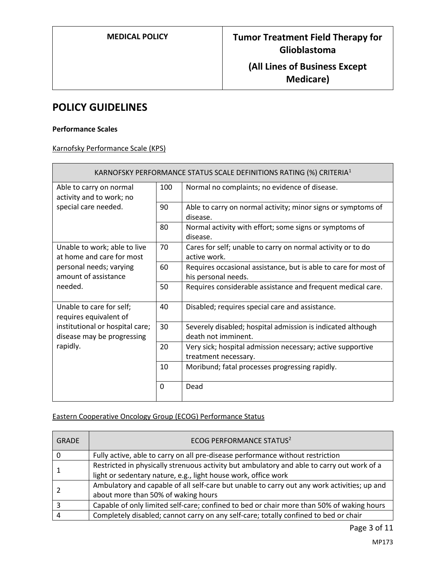### **POLICY GUIDELINES**

#### **Performance Scales**

Karnofsky Performance Scale (KPS)

| KARNOFSKY PERFORMANCE STATUS SCALE DEFINITIONS RATING (%) CRITERIA <sup>1</sup> |     |                                                                                        |
|---------------------------------------------------------------------------------|-----|----------------------------------------------------------------------------------------|
| Able to carry on normal<br>activity and to work; no                             | 100 | Normal no complaints; no evidence of disease.                                          |
| special care needed.                                                            | 90  | Able to carry on normal activity; minor signs or symptoms of<br>disease.               |
|                                                                                 | 80  | Normal activity with effort; some signs or symptoms of<br>disease.                     |
| Unable to work; able to live<br>at home and care for most                       | 70  | Cares for self; unable to carry on normal activity or to do<br>active work.            |
| personal needs; varying<br>amount of assistance                                 | 60  | Requires occasional assistance, but is able to care for most of<br>his personal needs. |
| needed.                                                                         | 50  | Requires considerable assistance and frequent medical care.                            |
| Unable to care for self;<br>requires equivalent of                              | 40  | Disabled; requires special care and assistance.                                        |
| institutional or hospital care;<br>disease may be progressing                   | 30  | Severely disabled; hospital admission is indicated although<br>death not imminent.     |
| rapidly.                                                                        | 20  | Very sick; hospital admission necessary; active supportive<br>treatment necessary.     |
|                                                                                 | 10  | Moribund; fatal processes progressing rapidly.                                         |
|                                                                                 | 0   | Dead                                                                                   |

### Eastern Cooperative Oncology Group (ECOG) Performance Status

| <b>GRADE</b> | ECOG PERFORMANCE STATUS <sup>2</sup>                                                        |
|--------------|---------------------------------------------------------------------------------------------|
|              | Fully active, able to carry on all pre-disease performance without restriction              |
|              | Restricted in physically strenuous activity but ambulatory and able to carry out work of a  |
|              | light or sedentary nature, e.g., light house work, office work                              |
|              | Ambulatory and capable of all self-care but unable to carry out any work activities; up and |
|              | about more than 50% of waking hours                                                         |
|              | Capable of only limited self-care; confined to bed or chair more than 50% of waking hours   |
|              | Completely disabled; cannot carry on any self-care; totally confined to bed or chair        |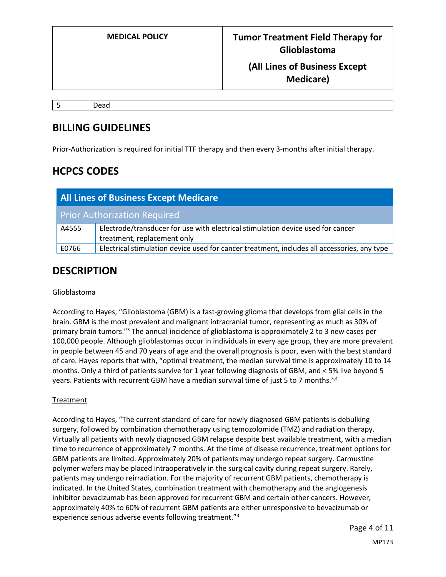5 Dead

### **BILLING GUIDELINES**

Prior-Authorization is required for initial TTF therapy and then every 3-months after initial therapy.

# **HCPCS CODES**

| <b>All Lines of Business Except Medicare</b> |                                                                                             |  |
|----------------------------------------------|---------------------------------------------------------------------------------------------|--|
|                                              | <b>Prior Authorization Required</b>                                                         |  |
| A4555                                        | Electrode/transducer for use with electrical stimulation device used for cancer             |  |
|                                              | treatment, replacement only                                                                 |  |
| E0766                                        | Electrical stimulation device used for cancer treatment, includes all accessories, any type |  |

### **DESCRIPTION**

### Glioblastoma

According to Hayes, "Glioblastoma (GBM) is a fast-growing glioma that develops from glial cells in the brain. GBM is the most prevalent and malignant intracranial tumor, representing as much as 30% of primary brain tumors.<sup>"3</sup> The annual incidence of glioblastoma is approximately 2 to 3 new cases per 100,000 people. Although glioblastomas occur in individuals in every age group, they are more prevalent in people between 45 and 70 years of age and the overall prognosis is poor, even with the best standard of care. Hayes reports that with, "optimal treatment, the median survival time is approximately 10 to 14 months. Only a third of patients survive for 1 year following diagnosis of GBM, and < 5% live beyond 5 years. Patients with recurrent GBM have a median survival time of just 5 to 7 months.<sup>3,4</sup>

### **Treatment**

According to Hayes, "The current standard of care for newly diagnosed GBM patients is debulking surgery, followed by combination chemotherapy using temozolomide (TMZ) and radiation therapy. Virtually all patients with newly diagnosed GBM relapse despite best available treatment, with a median time to recurrence of approximately 7 months. At the time of disease recurrence, treatment options for GBM patients are limited. Approximately 20% of patients may undergo repeat surgery. Carmustine polymer wafers may be placed intraoperatively in the surgical cavity during repeat surgery. Rarely, patients may undergo reirradiation. For the majority of recurrent GBM patients, chemotherapy is indicated. In the United States, combination treatment with chemotherapy and the angiogenesis inhibitor bevacizumab has been approved for recurrent GBM and certain other cancers. However, approximately 40% to 60% of recurrent GBM patients are either unresponsive to bevacizumab or experience serious adverse events following treatment."3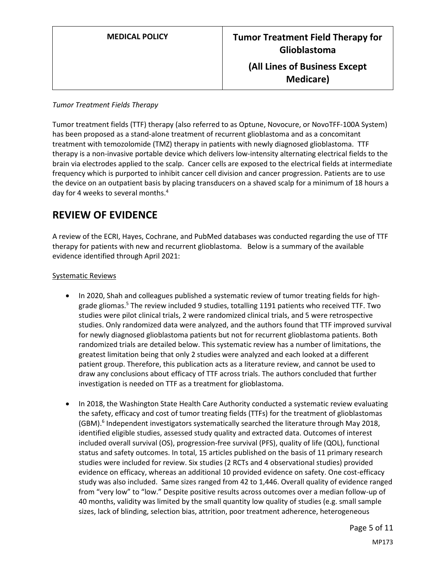#### *Tumor Treatment Fields Therapy*

Tumor treatment fields (TTF) therapy (also referred to as Optune, Novocure, or NovoTFF-100A System) has been proposed as a stand-alone treatment of recurrent glioblastoma and as a concomitant treatment with temozolomide (TMZ) therapy in patients with newly diagnosed glioblastoma. TTF therapy is a non-invasive portable device which delivers low-intensity alternating electrical fields to the brain via electrodes applied to the scalp. Cancer cells are exposed to the electrical fields at intermediate frequency which is purported to inhibit cancer cell division and cancer progression. Patients are to use the device on an outpatient basis by placing transducers on a shaved scalp for a minimum of 18 hours a day for 4 weeks to several months.<sup>4</sup>

## **REVIEW OF EVIDENCE**

A review of the ECRI, Hayes, Cochrane, and PubMed databases was conducted regarding the use of TTF therapy for patients with new and recurrent glioblastoma. Below is a summary of the available evidence identified through April 2021:

### Systematic Reviews

- In 2020, Shah and colleagues published a systematic review of tumor treating fields for highgrade gliomas.<sup>5</sup> The review included 9 studies, totalling 1191 patients who received TTF. Two studies were pilot clinical trials, 2 were randomized clinical trials, and 5 were retrospective studies. Only randomized data were analyzed, and the authors found that TTF improved survival for newly diagnosed glioblastoma patients but not for recurrent glioblastoma patients. Both randomized trials are detailed below. This systematic review has a number of limitations, the greatest limitation being that only 2 studies were analyzed and each looked at a different patient group. Therefore, this publication acts as a literature review, and cannot be used to draw any conclusions about efficacy of TTF across trials. The authors concluded that further investigation is needed on TTF as a treatment for glioblastoma.
- In 2018, the Washington State Health Care Authority conducted a systematic review evaluating the safety, efficacy and cost of tumor treating fields (TTFs) for the treatment of glioblastomas (GBM). 6 Independent investigators systematically searched the literature through May 2018, identified eligible studies, assessed study quality and extracted data. Outcomes of interest included overall survival (OS), progression-free survival (PFS), quality of life (QOL), functional status and safety outcomes. In total, 15 articles published on the basis of 11 primary research studies were included for review. Six studies (2 RCTs and 4 observational studies) provided evidence on efficacy, whereas an additional 10 provided evidence on safety. One cost-efficacy study was also included. Same sizes ranged from 42 to 1,446. Overall quality of evidence ranged from "very low" to "low." Despite positive results across outcomes over a median follow-up of 40 months, validity was limited by the small quantity low quality of studies (e.g. small sample sizes, lack of blinding, selection bias, attrition, poor treatment adherence, heterogeneous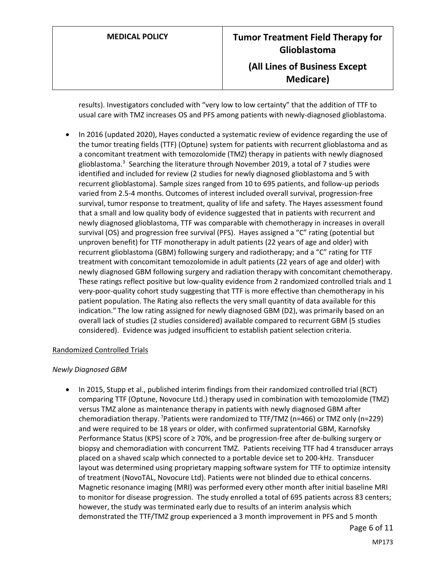results). Investigators concluded with "very low to low certainty" that the addition of TTF to usual care with TMZ increases OS and PFS among patients with newly-diagnosed glioblastoma.

 In 2016 (updated 2020), Hayes conducted a systematic review of evidence regarding the use of the tumor treating fields (TTF) (Optune) system for patients with recurrent glioblastoma and as a concomitant treatment with temozolomide (TMZ) therapy in patients with newly diagnosed glioblastoma.<sup>3</sup> Searching the literature through November 2019, a total of 7 studies were identified and included for review (2 studies for newly diagnosed glioblastoma and 5 with recurrent glioblastoma). Sample sizes ranged from 10 to 695 patients, and follow-up periods varied from 2.5-4 months. Outcomes of interest included overall survival, progression-free survival, tumor response to treatment, quality of life and safety. The Hayes assessment found that a small and low quality body of evidence suggested that in patients with recurrent and newly diagnosed glioblastoma, TTF was comparable with chemotherapy in increases in overall survival (OS) and progression free survival (PFS). Hayes assigned a "C" rating (potential but unproven benefit) for TTF monotherapy in adult patients (22 years of age and older) with recurrent glioblastoma (GBM) following surgery and radiotherapy; and a "C" rating for TTF treatment with concomitant temozolomide in adult patients (22 years of age and older) with newly diagnosed GBM following surgery and radiation therapy with concomitant chemotherapy. These ratings reflect positive but low-quality evidence from 2 randomized controlled trials and 1 very-poor-quality cohort study suggesting that TTF is more effective than chemotherapy in his patient population. The Rating also reflects the very small quantity of data available for this indication." The low rating assigned for newly diagnosed GBM (D2), was primarily based on an overall lack of studies (2 studies considered) available compared to recurrent GBM (5 studies considered). Evidence was judged insufficient to establish patient selection criteria.

#### Randomized Controlled Trials

#### *Newly Diagnosed GBM*

 In 2015, Stupp et al., published interim findings from their randomized controlled trial (RCT) comparing TTF (Optune, Novocure Ltd.) therapy used in combination with temozolomide (TMZ) versus TMZ alone as maintenance therapy in patients with newly diagnosed GBM after chemoradiation therapy. <sup>7</sup>Patients were randomized to TTF/TMZ (n=466) or TMZ only (n=229) and were required to be 18 years or older, with confirmed supratentorial GBM, Karnofsky Performance Status (KPS) score of ≥ 70%, and be progression-free after de-bulking surgery or biopsy and chemoradiation with concurrent TMZ. Patients receiving TTF had 4 transducer arrays placed on a shaved scalp which connected to a portable device set to 200-kHz. Transducer layout was determined using proprietary mapping software system for TTF to optimize intensity of treatment (NovoTAL, Novocure Ltd). Patients were not blinded due to ethical concerns. Magnetic resonance imaging (MRI) was performed every other month after initial baseline MRI to monitor for disease progression. The study enrolled a total of 695 patients across 83 centers; however, the study was terminated early due to results of an interim analysis which demonstrated the TTF/TMZ group experienced a 3 month improvement in PFS and 5 month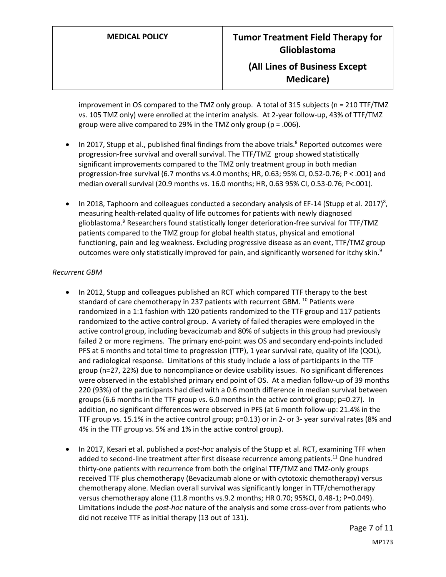improvement in OS compared to the TMZ only group. A total of 315 subjects (n = 210 TTF/TMZ vs. 105 TMZ only) were enrolled at the interim analysis. At 2-year follow-up, 43% of TTF/TMZ group were alive compared to 29% in the TMZ only group (p = .006).

- In 2017, Stupp et al., published final findings from the above trials.<sup>8</sup> Reported outcomes were progression-free survival and overall survival. The TTF/TMZ group showed statistically significant improvements compared to the TMZ only treatment group in both median progression-free survival (6.7 months vs.4.0 months; HR, 0.63; 95% CI, 0.52-0.76; P < .001) and median overall survival (20.9 months vs. 16.0 months; HR, 0.63 95% CI, 0.53-0.76; P<.001).
- In 2018, Taphoorn and colleagues conducted a secondary analysis of EF-14 (Stupp et al. 2017)<sup>8</sup>, measuring health-related quality of life outcomes for patients with newly diagnosed glioblastoma.<sup>9</sup> Researchers found statistically longer deterioration-free survival for TTF/TMZ patients compared to the TMZ group for global health status, physical and emotional functioning, pain and leg weakness. Excluding progressive disease as an event, TTF/TMZ group outcomes were only statistically improved for pain, and significantly worsened for itchy skin.<sup>9</sup>

### *Recurrent GBM*

- In 2012, Stupp and colleagues published an RCT which compared TTF therapy to the best standard of care chemotherapy in 237 patients with recurrent GBM.  $^{10}$  Patients were randomized in a 1:1 fashion with 120 patients randomized to the TTF group and 117 patients randomized to the active control group. A variety of failed therapies were employed in the active control group, including bevacizumab and 80% of subjects in this group had previously failed 2 or more regimens. The primary end-point was OS and secondary end-points included PFS at 6 months and total time to progression (TTP), 1 year survival rate, quality of life (QOL), and radiological response. Limitations of this study include a loss of participants in the TTF group (n=27, 22%) due to noncompliance or device usability issues. No significant differences were observed in the established primary end point of OS. At a median follow-up of 39 months 220 (93%) of the participants had died with a 0.6 month difference in median survival between groups (6.6 months in the TTF group vs. 6.0 months in the active control group; p=0.27). In addition, no significant differences were observed in PFS (at 6 month follow-up: 21.4% in the TTF group vs. 15.1% in the active control group; p=0.13) or in 2- or 3- year survival rates (8% and 4% in the TTF group vs. 5% and 1% in the active control group).
- In 2017, Kesari et al. published a *post-hoc* analysis of the Stupp et al. RCT, examining TFF when added to second-line treatment after first disease recurrence among patients.<sup>11</sup> One hundred thirty-one patients with recurrence from both the original TTF/TMZ and TMZ-only groups received TTF plus chemotherapy (Bevacizumab alone or with cytotoxic chemotherapy) versus chemotherapy alone. Median overall survival was significantly longer in TTF/chemotherapy versus chemotherapy alone (11.8 months vs.9.2 months; HR 0.70; 95%CI, 0.48-1; P=0.049). Limitations include the *post-hoc* nature of the analysis and some cross-over from patients who did not receive TTF as initial therapy (13 out of 131).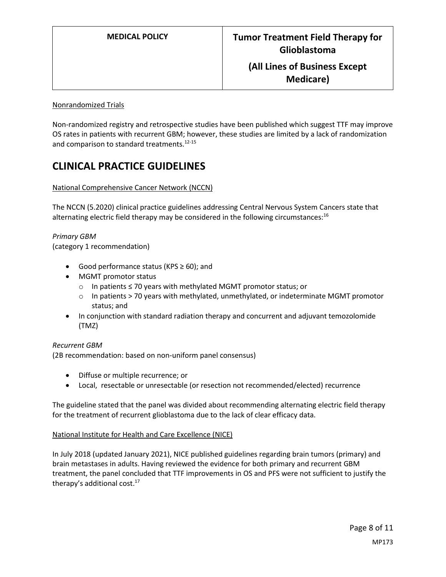### Nonrandomized Trials

Non-randomized registry and retrospective studies have been published which suggest TTF may improve OS rates in patients with recurrent GBM; however, these studies are limited by a lack of randomization and comparison to standard treatments.<sup>12-15</sup>

# **CLINICAL PRACTICE GUIDELINES**

#### National Comprehensive Cancer Network (NCCN)

The NCCN (5.2020) clinical practice guidelines addressing Central Nervous System Cancers state that alternating electric field therapy may be considered in the following circumstances: $16$ 

*Primary GBM* (category 1 recommendation)

- Good performance status (KPS ≥ 60); and
- MGMT promotor status
	- o In patients ≤ 70 years with methylated MGMT promotor status; or
	- o In patients > 70 years with methylated, unmethylated, or indeterminate MGMT promotor status; and
- In conjunction with standard radiation therapy and concurrent and adjuvant temozolomide (TMZ)

#### *Recurrent GBM*

(2B recommendation: based on non-uniform panel consensus)

- Diffuse or multiple recurrence; or
- Local, resectable or unresectable (or resection not recommended/elected) recurrence

The guideline stated that the panel was divided about recommending alternating electric field therapy for the treatment of recurrent glioblastoma due to the lack of clear efficacy data.

#### National Institute for Health and Care Excellence (NICE)

In July 2018 (updated January 2021), NICE published guidelines regarding brain tumors (primary) and brain metastases in adults. Having reviewed the evidence for both primary and recurrent GBM treatment, the panel concluded that TTF improvements in OS and PFS were not sufficient to justify the therapy's additional cost.<sup>17</sup>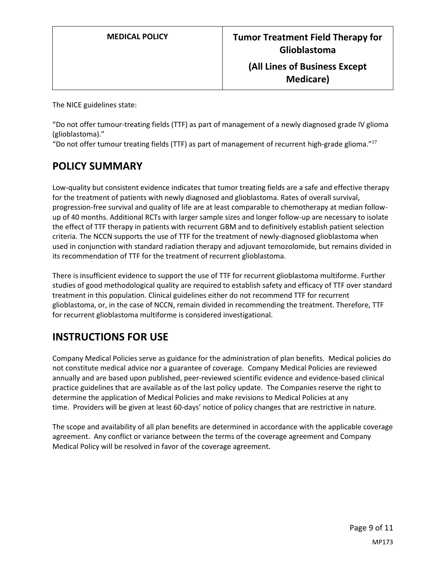The NICE guidelines state:

"Do not offer tumour-treating fields (TTF) as part of management of a newly diagnosed grade IV glioma (glioblastoma)."

"Do not offer tumour treating fields (TTF) as part of management of recurrent high-grade glioma." 17

# **POLICY SUMMARY**

Low-quality but consistent evidence indicates that tumor treating fields are a safe and effective therapy for the treatment of patients with newly diagnosed and glioblastoma. Rates of overall survival, progression-free survival and quality of life are at least comparable to chemotherapy at median followup of 40 months. Additional RCTs with larger sample sizes and longer follow-up are necessary to isolate the effect of TTF therapy in patients with recurrent GBM and to definitively establish patient selection criteria. The NCCN supports the use of TTF for the treatment of newly-diagnosed glioblastoma when used in conjunction with standard radiation therapy and adjuvant temozolomide, but remains divided in its recommendation of TTF for the treatment of recurrent glioblastoma.

There is insufficient evidence to support the use of TTF for recurrent glioblastoma multiforme. Further studies of good methodological quality are required to establish safety and efficacy of TTF over standard treatment in this population. Clinical guidelines either do not recommend TTF for recurrent glioblastoma, or, in the case of NCCN, remain divided in recommending the treatment. Therefore, TTF for recurrent glioblastoma multiforme is considered investigational.

# **INSTRUCTIONS FOR USE**

Company Medical Policies serve as guidance for the administration of plan benefits. Medical policies do not constitute medical advice nor a guarantee of coverage. Company Medical Policies are reviewed annually and are based upon published, peer-reviewed scientific evidence and evidence-based clinical practice guidelines that are available as of the last policy update. The Companies reserve the right to determine the application of Medical Policies and make revisions to Medical Policies at any time. Providers will be given at least 60-days' notice of policy changes that are restrictive in nature.

The scope and availability of all plan benefits are determined in accordance with the applicable coverage agreement. Any conflict or variance between the terms of the coverage agreement and Company Medical Policy will be resolved in favor of the coverage agreement.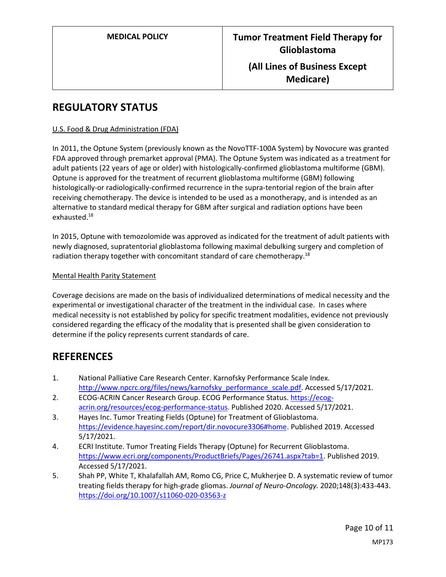# **REGULATORY STATUS**

### U.S. Food & Drug Administration (FDA)

In 2011, the Optune System (previously known as the NovoTTF-100A System) by Novocure was granted FDA approved through premarket approval (PMA). The Optune System was indicated as a treatment for adult patients (22 years of age or older) with histologically-confirmed glioblastoma multiforme (GBM). Optune is approved for the treatment of recurrent glioblastoma multiforme (GBM) following histologically-or radiologically-confirmed recurrence in the supra-tentorial region of the brain after receiving chemotherapy. The device is intended to be used as a monotherapy, and is intended as an alternative to standard medical therapy for GBM after surgical and radiation options have been exhausted.<sup>18</sup>

In 2015, Optune with temozolomide was approved as indicated for the treatment of adult patients with newly diagnosed, supratentorial glioblastoma following maximal debulking surgery and completion of radiation therapy together with concomitant standard of care chemotherapy.<sup>18</sup>

### Mental Health Parity Statement

Coverage decisions are made on the basis of individualized determinations of medical necessity and the experimental or investigational character of the treatment in the individual case. In cases where medical necessity is not established by policy for specific treatment modalities, evidence not previously considered regarding the efficacy of the modality that is presented shall be given consideration to determine if the policy represents current standards of care.

### **REFERENCES**

- 1. National Palliative Care Research Center. Karnofsky Performance Scale Index. [http://www.npcrc.org/files/news/karnofsky\\_performance\\_scale.pdf.](http://www.npcrc.org/files/news/karnofsky_performance_scale.pdf) Accessed 5/17/2021.
- 2. ECOG-ACRIN Cancer Research Group. ECOG Performance Status. [https://ecog](https://ecog-acrin.org/resources/ecog-performance-status)[acrin.org/resources/ecog-performance-status.](https://ecog-acrin.org/resources/ecog-performance-status) Published 2020. Accessed 5/17/2021.
- 3. Hayes Inc. Tumor Treating Fields (Optune) for Treatment of Glioblastoma. [https://evidence.hayesinc.com/report/dir.novocure3306#home.](https://evidence.hayesinc.com/report/dir.novocure3306#home) Published 2019. Accessed 5/17/2021.
- 4. ECRI Institute. Tumor Treating Fields Therapy (Optune) for Recurrent Glioblastoma. [https://www.ecri.org/components/ProductBriefs/Pages/26741.aspx?tab=1.](https://www.ecri.org/components/ProductBriefs/Pages/26741.aspx?tab=1) Published 2019. Accessed 5/17/2021.
- 5. Shah PP, White T, Khalafallah AM, Romo CG, Price C, Mukherjee D. A systematic review of tumor treating fields therapy for high-grade gliomas. *Journal of Neuro-Oncology.* 2020;148(3):433-443. <https://doi.org/10.1007/s11060-020-03563-z>